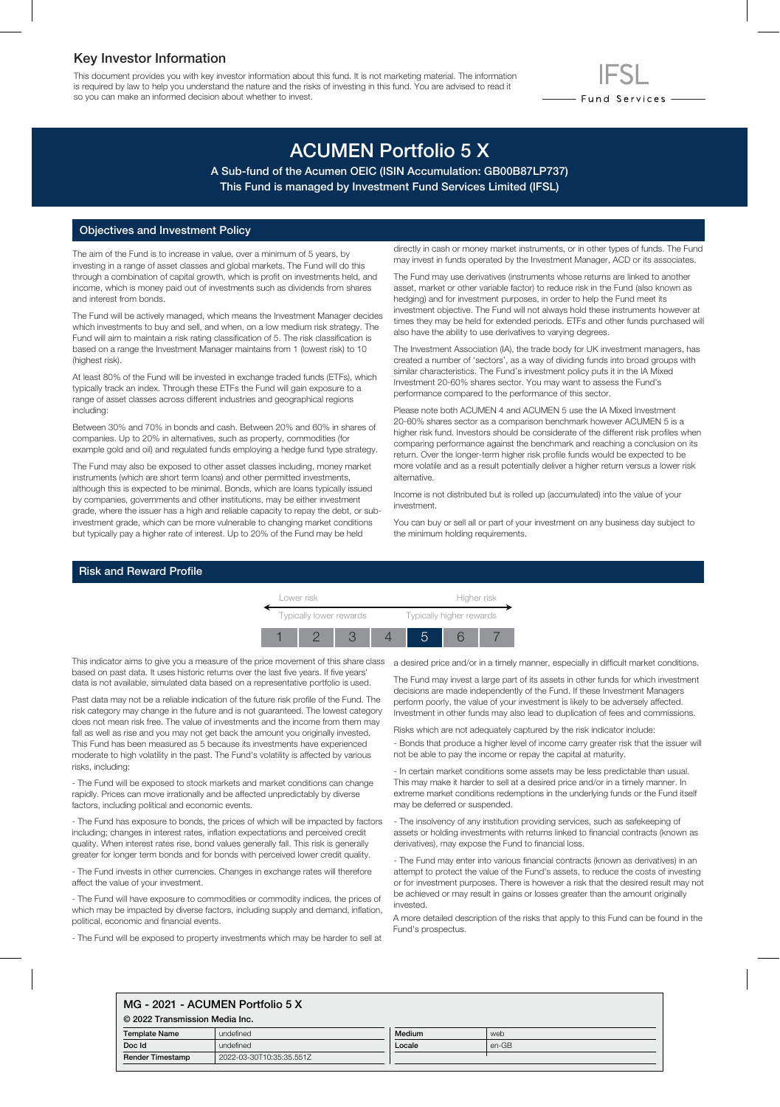# Key Investor Information

This document provides you with key investor information about this fund. It is not marketing material. The information is required by law to help you understand the nature and the risks of investing in this fund. You are advised to read it so you can make an informed decision about whether to invest.

# ACUMEN Portfolio 5 X

A Sub-fund of the Acumen OEIC (ISIN Accumulation: GB00B87LP737) This Fund is managed by Investment Fund Services Limited (IFSL)

## Objectives and Investment Policy

The aim of the Fund is to increase in value, over a minimum of 5 years, by investing in a range of asset classes and global markets. The Fund will do this through a combination of capital growth, which is profit on investments held, and income, which is money paid out of investments such as dividends from shares and interest from bonds.

The Fund will be actively managed, which means the Investment Manager decides which investments to buy and sell, and when, on a low medium risk strategy. The Fund will aim to maintain a risk rating classification of 5. The risk classification is based on a range the Investment Manager maintains from 1 (lowest risk) to 10 (highest risk).

At least 80% of the Fund will be invested in exchange traded funds (ETFs), which typically track an index. Through these ETFs the Fund will gain exposure to a range of asset classes across different industries and geographical regions including:

Between 30% and 70% in bonds and cash. Between 20% and 60% in shares of companies. Up to 20% in alternatives, such as property, commodities (for example gold and oil) and regulated funds employing a hedge fund type strategy.

The Fund may also be exposed to other asset classes including, money market instruments (which are short term loans) and other permitted investments, although this is expected to be minimal. Bonds, which are loans typically issued by companies, governments and other institutions, may be either investment grade, where the issuer has a high and reliable capacity to repay the debt, or subinvestment grade, which can be more vulnerable to changing market conditions but typically pay a higher rate of interest. Up to 20% of the Fund may be held

directly in cash or money market instruments, or in other types of funds. The Fund may invest in funds operated by the Investment Manager, ACD or its associates.

- Fund Services —

The Fund may use derivatives (instruments whose returns are linked to another asset, market or other variable factor) to reduce risk in the Fund (also known as hedging) and for investment purposes, in order to help the Fund meet its investment objective. The Fund will not always hold these instruments however at times they may be held for extended periods. ETFs and other funds purchased will also have the ability to use derivatives to varying degrees.

The Investment Association (IA), the trade body for UK investment managers, has created a number of 'sectors', as a way of dividing funds into broad groups with similar characteristics. The Fund's investment policy puts it in the IA Mixed Investment 20-60% shares sector. You may want to assess the Fund's performance compared to the performance of this sector.

Please note both ACUMEN 4 and ACUMEN 5 use the IA Mixed Investment 20-60% shares sector as a comparison benchmark however ACUMEN 5 is a higher risk fund. Investors should be considerate of the different risk profiles when comparing performance against the benchmark and reaching a conclusion on its return. Over the longer-term higher risk profile funds would be expected to be more volatile and as a result potentially deliver a higher return versus a lower risk alternative.

Income is not distributed but is rolled up (accumulated) into the value of your investment.

You can buy or sell all or part of your investment on any business day subject to the minimum holding requirements.

## Risk and Reward Profile



This indicator aims to give you a measure of the price movement of this share class based on past data. It uses historic returns over the last five years. If five years' data is not available, simulated data based on a representative portfolio is used.

Past data may not be a reliable indication of the future risk profile of the Fund. The risk category may change in the future and is not guaranteed. The lowest category does not mean risk free. The value of investments and the income from them may fall as well as rise and you may not get back the amount you originally invested. This Fund has been measured as 5 because its investments have experienced moderate to high volatility in the past. The Fund's volatility is affected by various risks, including:

- The Fund will be exposed to stock markets and market conditions can change rapidly. Prices can move irrationally and be affected unpredictably by diverse factors, including political and economic events.

- The Fund has exposure to bonds, the prices of which will be impacted by factors including; changes in interest rates, inflation expectations and perceived credit quality. When interest rates rise, bond values generally fall. This risk is generally greater for longer term bonds and for bonds with perceived lower credit quality.

- The Fund invests in other currencies. Changes in exchange rates will therefore affect the value of your investment.

- The Fund will have exposure to commodities or commodity indices, the prices of which may be impacted by diverse factors, including supply and demand, inflation, political, economic and financial events.

- The Fund will be exposed to property investments which may be harder to sell at

a desired price and/or in a timely manner, especially in difficult market conditions.

The Fund may invest a large part of its assets in other funds for which investment decisions are made independently of the Fund. If these Investment Managers perform poorly, the value of your investment is likely to be adversely affected. Investment in other funds may also lead to duplication of fees and commissions.

Risks which are not adequately captured by the risk indicator include:

- Bonds that produce a higher level of income carry greater risk that the issuer will not be able to pay the income or repay the capital at maturity.

- In certain market conditions some assets may be less predictable than usual. This may make it harder to sell at a desired price and/or in a timely manner. In extreme market conditions redemptions in the underlying funds or the Fund itself may be deferred or suspended.

- The insolvency of any institution providing services, such as safekeeping of assets or holding investments with returns linked to financial contracts (known as derivatives), may expose the Fund to financial loss.

- The Fund may enter into various financial contracts (known as derivatives) in an attempt to protect the value of the Fund's assets, to reduce the costs of investing or for investment purposes. There is however a risk that the desired result may not be achieved or may result in gains or losses greater than the amount originally invested.

A more detailed description of the risks that apply to this Fund can be found in the Fund's prospectus.